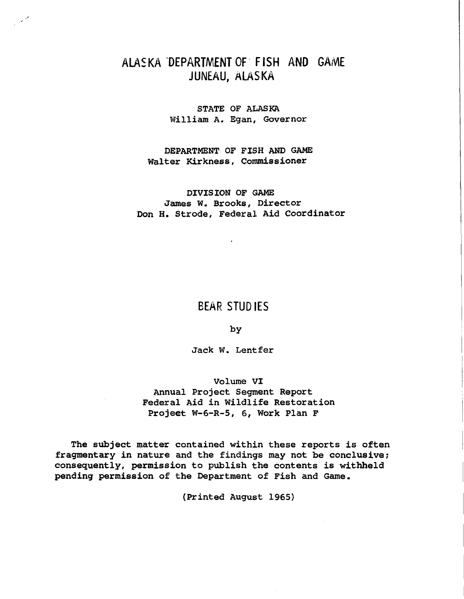# ALASKA DEPARTMENT OF FISH AND GAME JUNEAU, ALASKA

-'

STATE OF ALASKA William A. Egan, Governor

DEPARTMENT OF FISH AND GAME Walter Kirkness, Commissioner

### DIVISION OF GAME James w. Brooks, Director Don H. Strode, Federal Aid Coordinator

## BEAR STUDIES

by

Jack w. Lentfer

### Volume VI

Annual Project Segment Report Federal Aid in Wildlife Restoration Projeet W-6-R-5, 6, Work Plan F

The subject matter contained within these reports is often fragmentary in nature and the findings may not be conclusive; consequently, permission to publish the contents is withheld pending permission of the Department of Fish and Game.

(Printed August 1965}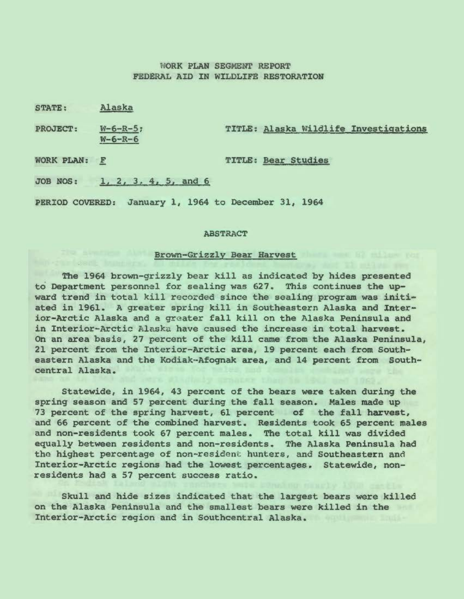### WORK PLAN SEGMENT REPORT FEDERAL AID IN WILDLIFE RESTORATION

STATE: Alaska

PROJECT: W-6-R-5; TITLE: Alaska Wildlife Investigations W-6-R-6

WORK PLAN: F TITLE: Bear Studies

JOB NOS: l, 2, *3,* 4, 5, and 6

PERIOD COVERED: January 1, 1964 to December 31, 1964

#### ABSTRACT

### Brown-Grizzly Bear Harvest

The 1964 brown-grizzly bear kill as indicated by hides presented to Department personnel for sealing was 627. This continues the upward trend in total kill recorded since the sealing program was initiated in 1961. A greater spring kill in Southeastern Alaska and Interior- Arctic Alaska and a greater fall kill on the Alaska Peninsula and in Interior-Arctic Alaska have caused the increase in total harvest. On an area basis, 27 percent of the kill came from the Alaska Peninsula, 21 percent from the Interior-Arctic area, 19 percent each from Southeastern Alaska and the Kodiak-Afognak area, and 14 percent from Southcentral Alaska.

Statewide, in 1964, 43 percent of the bears were taken during the spring season and 57 percent during the fall season. Males made up 73 percent of the spring harvest, 61 percent of the fall harvest, and 66 percent of the combined harvest. Residents took 65 percent males and non-residents took 67 percent males. The total kill was divided equally between residents and non-residents. The Alaska Peninsula had the highest percentage of non-resident hunters, and Southeastern and Interior- Arctic regions had the lowest percentages. Statewide, nonresidents had a 57 percent success ratio.

Skull and hide sizes indicated that the largest bears were killed on the Alaska Peninsula and the smallest bears were killed in the Interior-Arctic region and in Southcentral Alaska.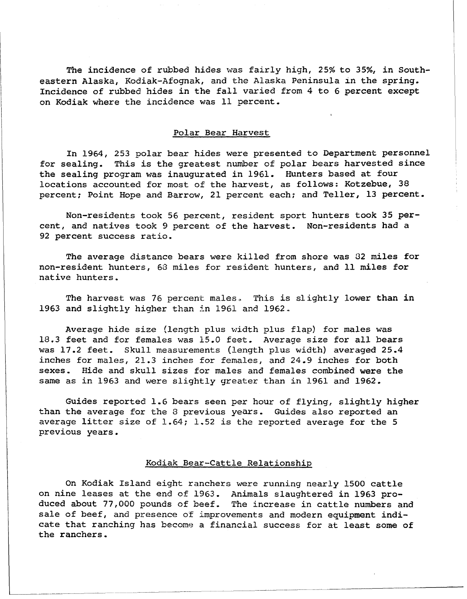The incidence of rubbed hides was fairly high, 25% to 35%, in Southeastern Alaska, Kodiak-Afognak, and the Alaska Peninsula in the spring. Incidence of rubbed hides in the fall varied from 4 to 6 percent except on Kodiak where the incidence was 11 percent.

### Polar Bear Harvest

In 1964, 253 polar bear hides were presented to Department personnel for sealing. This is the greatest number of polar bears harvested since the sealing program was inaugurated *in* 1961. Hunters based at four locations accounted for most of the harvest, as follows: Kotzebue, 38 percent; Point Hope and Barrow, 21 percent each; and Teller, 13 percent.

Non-residents took 56 percent, resident sport hunters took 35 percent, and natives took 9 percent of the harvest. Non-residents had a 92 percent success ratio.

The average distance bears were killed from shore was 32 miles for non-resident hunters, 68 miles for resident hunters, and 11 miles for native hunters.

The harvest was 76 percent males. This is slightly lower than in 1963 and slightly higher than in 1961 and 1962.

Average hide size (length plus width plus flap) for males was 18.3 feet and for females was 15.0 feet. Average size for all bears was 17.2 feet. Skull measurements (length plus width) averaged 25.4 inches for males, 21.3 inches for females, and 24.9 inches for both sexes. Hide and skull sizes for males and females combined were the same as in 1963 and were slightly greater than in 1961 and 1962.

Guides reported 1.6 bears seen per hour of flying, slightly higher than the average for the 8 previous years. Guides also reported an average litter size of 1.64; 1.52 is the reported average for the 5 previous years.

#### Kodiak Bear-Cattle Relationship

On Kodiak Island eight ranchers were running nearly 1500 cattle on nine leases at the end of 1963. Animals slaughtered in 1963 produced about 77,000 pounds of beef. The increase in cattle numbers and sale of beef, and presence of improvements and modern equipment indicate that ranching has become a financial success for at least some of the ranchers.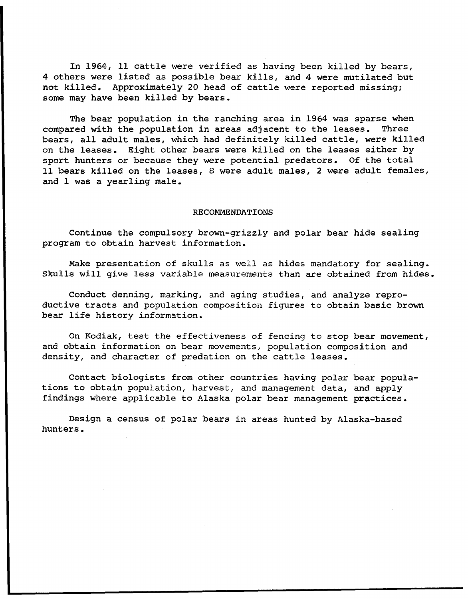In 1964, 11 cattle were verified as having been killed by bears, 4 others were listed as possible bear kills, and 4 were mutilated but not killed. Approximately 20 head of cattle were reported missing; some may have been killed by bears.

The bear population in the ranching area in 1964 was sparse when compared with the population in areas adjacent to the leases. Three bears, all adult males, which had definitely killed cattle, were killed on the leases. Eight other bears were killed on the leases either by sport hunters or because they were potential predators. Of the total 11 bears killed on the leases, 8 were adult males, 2 were adult females, and 1 was a yearling male.

#### RECOMMENDATIONS

Continue the compulsory brown-grizzly and polar bear hide sealing program to obtain harvest information.

Make presentation of skulls as well as hides mandatory for sealing. Skulls will give less variable measurements than are obtained from hides.

Conduct denning, marking, and aging studies, and analyze reproductive tracts and population composition figures to obtain basic brown bear life history information.

On Kodiak, test the effectiveness of fencing to stop bear movement, and obtain information on bear movements, population composition and density, and character of predation on the cattle leases.

Contact biologists from other countries having polar bear populations to obtain population, harvest, and management data, and apply findings where applicable to Alaska polar bear management practices.

Design a census of polar bears in areas hunted by Alaska-based hunters.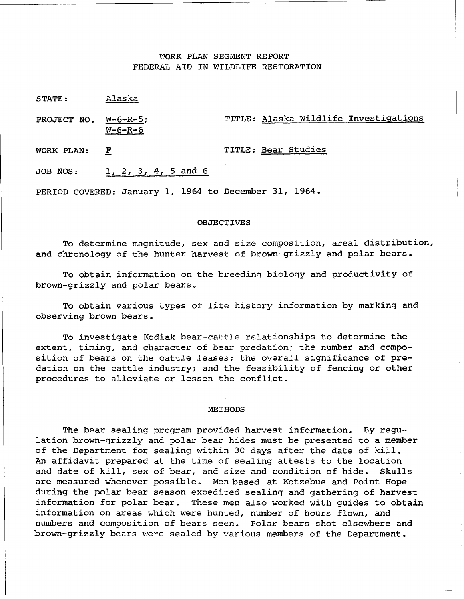### l·!ORK PLAN SEGMENT REPORT FEDERAL AID IN WILDLIFE RESTORATION

PROJECT NO. W-6-R-5; TITLE: Alaska Wildlife Investigations W-6-R-6

WORK PLAN: F TITLE: Bear Studies

JOB NOS: 1, 2, 3, 4, 5 and 6

PERIOD COVERED: January 1, 1964 to December 31, 1964.

#### **OBJECTIVES**

To determine magnitude, sex and size composition, areal distribution, and chronology of the hunter harvest of brown-grizzly and polar bears.

To obtain information on the breeding biology and productivity of brown-grizzly and polar bears.

To obtain various types of life history information by marking and observing brown bears.

To investigate Kodiak bear-cattle relationships to determine the extent, timing, and character of bear predation; the number and composition of bears on the cattle leases; the overall significance of predation on the cattle industry; and the feasibility of fencing or other procedures to alleviate or lessen the conflict.

#### **METHODS**

The bear sealing program provided harvest information. By regulation brown-grizzly and polar bear hides must be presented to a member of the Department for sealing within 30 days after the date of kill. An affidavit prepared at the time of sealing attests to the location and date of kill, sex of bear, and size and condition of hide. Skulls are measured whenever possible. Men based at Kotzebue and Point Hope during the polar bear season expedited sealing and gathering of harvest information for polar bear. These men also worked with guides to obtain information on areas which were hunted, number of hours flown, and numbers and composition of bears seen. Polar bears shot elsewhere and brown-grizzly bears were sealed by various members of the Department.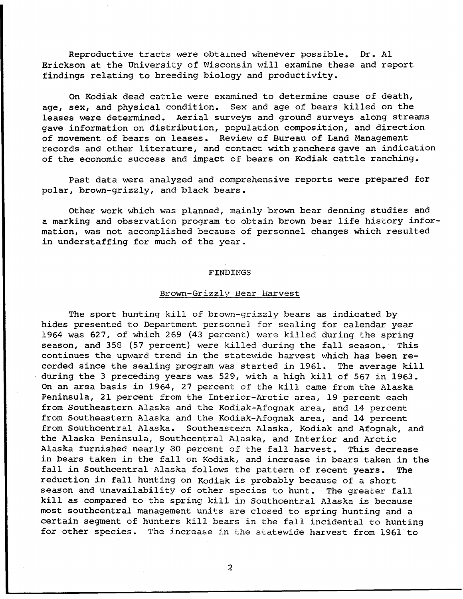Reproductive tracts were obtained whenever possible. Dr. Al Erickson at the University of Wisconsin will examine these and report findings relating to breeding biology and productivity.

On Kodiak dead cattle were examined to determine cause of death, age, sex, and physical condition. Sex and age of bears killed on the leases were determined. Aerial surveys and ground surveys along streams gave information on distribution, population composition, and direction of movement of bears on leases. Review of Bureau of Land Management records and other literature, and contact with ranchers gave an indication of the economic success and impact of bears on Kodiak cattle ranching.

Past data were analyzed and comprehensive reports were prepared for polar, brown-grizzly, and black bears.

Other work which was planned, mainly brown bear denning studies and a marking and observation program to obtain brown bear life history information, was not accomplished because of personnel changes which resulted in understaffing for much of the year.

#### FINDINGS

#### Brown-Grizzly Bear Harvest

The sport hunting kill of brown-grizzly bears as indicated by hides presented to Department personnel for sealing for calendar year 1964 was 627, of which 269 (43 percent) were killed during the spring season, and 358 (57 percent) were killed during the fall season. This continues the upward trend in the statewide harvest which has been recorded since the sealing program was started in 1961. The average kill during the 3 preceding years was 529, with a high kill of 567 in 1963. On an area basis in 1964, 27 percent of the kill came from the Alaska Peninsula, 21 percent from the Interior-Arctic area, 19 percent each from Southeastern Alaska and the Kodiak-Afognak area, and 14 percent from Southeastern Alaska and the Kodiak-Afognak area, and 14 percent from Southcentral Alaska. Southeastern Alaska, Kodiak and Afognak, and the Alaska Peninsula, Southcentral Alaska, and Interior and Arctic Alaska furnished nearly 30 percent of the fall harvest. This decrease in bears taken in the fall on Kodiak, and increase in bears taken in the fall in Southcentral Alaska follows the pattern of recent years. The reduction in fall hunting on Kodiak is probably because of a short season and unavailability of other species to hunt. The greater fall kill as compared to the spring kill in Southcentral Alaska is because most southcentral management units are closed to spring hunting and a certain segment of hunters kill bears in the fall incidental to hunting for other species. The increase in the statewide harvest from 1961 to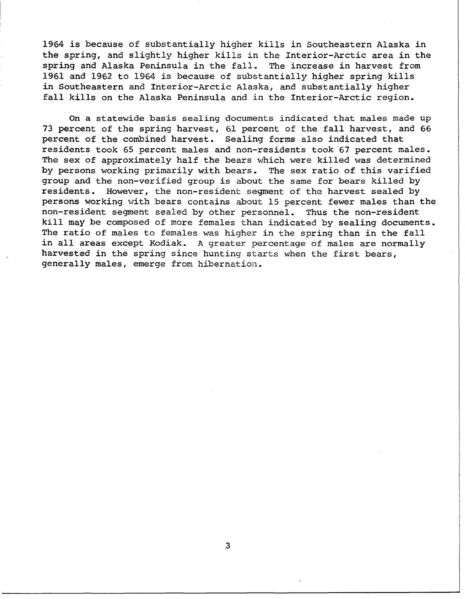1964 is because of substantially higher kills in Southeastern Alaska in the spring, and slightly higher kills in the Interior-Arctic area in the spring and Alaska Peninsula in the fall. The increase in harvest from spring and Alaska Peninsula in the fall. 1961 and 1962 to 1964 is because of substantially higher spring kills in Southeastern and Interior-Arctic Alaska, and substantially higher fall kills on the Alaska Peninsula and in the Interior-Arctic region.

On a statewide basis sealing documents indicated that males made up 73 percent of the spring harvest, 61 percent of the fall harvest, and 66 percent of the combined harvest. Sealing forms also indicated that residents took 65 percent males and non-residents took 67 percent males. The sex of approximately half the bears which were killed was determined by persons working primarily with bears. The sex ratio of this varified group and the non-verified group is about the same for bears killed by<br>residents. However, the non-resident seqment of the harvest sealed by However, the non-resident segment of the harvest sealed by persons working with bears contains about 15 percent fewer males than the non-resident segment sealed by other personnel. Thus the non-resident kill may be composed of more females than indicated by sealing documents. The ratio of males to females was higher in the spring than in the fall in all areas except Kodiak. A greater percentage of males are normally harvested in the spring since hunting starts when the first bears, generally males, emerge from hibernation.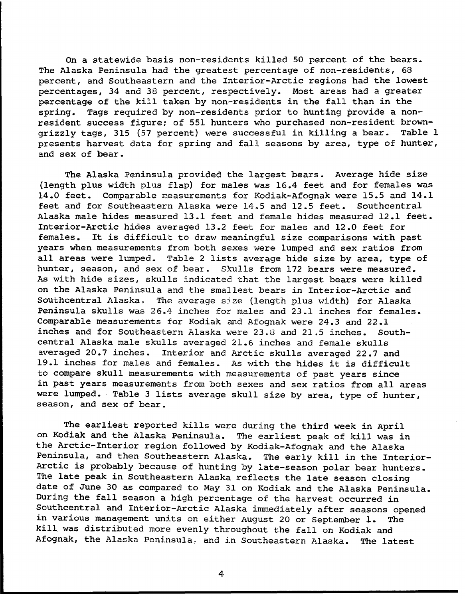On a statewide basis non-residents killed 50 percent of the bears. The Alaska Peninsula had the greatest percentage of non-residents, 68 percent, and Southeastern and the Interior-Arctic regions had the lowest percentages, 34 and 38 percent, respectively. Most areas had a greater percentage of the kill taken by non-residents in the fall than in the spring. Tags required by non-residents prior to hunting provide a nonresident success figure; of 551 hunters who purchased non-resident brown-<br>grizzly tags. 315 (57 percent) were successful in killing a bear. Table l grizzly tags, 315 (57 percent) were successful in killing a bear. presents harvest data for spring and fall seasons by area, type of hunter, and sex of bear.

The Alaska Peninsula provided the largest bears. Average hide size (length plus width plus flap) for males was 16.4 feet and for females was 14.0 feet. Comparable measurements for Kodiak-Afognak were 15.5 and 14.1 feet and for Southeastern Alaska were 14.5 and 12.5 feet. Southcentral Alaska male hides measured 13.1 feet and female hides measured 12.l feet. Interior-Arctic hides averaged 13.2 feet for males and 12.0 feet for<br>females. It is difficult to draw meaningful size comparisons with p It is difficult to draw meaningful size comparisons with past years when measurements from both sexes were lumped and sex ratios from all areas were lumped. Table 2 lists average hide size by area, type of hunter, season, and sex of bear. Skulls from 172 bears were measured. As with hide sizes, skulls indicated that the largest bears were killed on the Alaska Peninsula and the smallest bears in Interior-Arctic and Southcentral Alaska. The average size (length plus width) for Alaska Peninsula skulls was 26.4 inches for males and 23.1 inches for females. Comparable measurements for Kodiak and Afognak were 24.3 and 22.1 inches and for Southeastern Alaska were  $23.8$  and  $21.5$  inches. Southcentral Alaska male skulls averaged 21.6 inches and female skulls averaged 20.7 inches. Interior and Arctic skulls averaged 22.7 and 19.1 inches for males and females. As with the hides it is difficult to compare skull measurements with measurements of past years since in past years measurements from both sexes and sex ratios from all areas were lumped. Table 3 lists average skull size by area, type of hunter, season, and sex of bear.

The earliest reported kills were during the third week in April<br>diak and the Alaska Peninsula. The earliest peak of kill was in on Kodiak and the Alaska Peninsula. the Arctic-Interior region followed by Kodiak-Afognak and the Alaska Peninsula, and then Southeastern Alaska. The early kill in the Interior-Arctic is probably because of hunting by late-season polar bear hunters. The late peak in Southeastern Alaska reflects the late season closing date of June 30 as compared to May 31 on Kodiak and the Alaska Peninsula. During the fall season a high percentage of the harvest occurred in Southcentral and Interior-Arctic Alaska immediately after seasons opened in various management units on either August 20 or September l. The kil! was distributed more evenly throughout the fall on Kodiak and Afognak, the Alaska Peninsula: and in Southeastern Alaska. The latest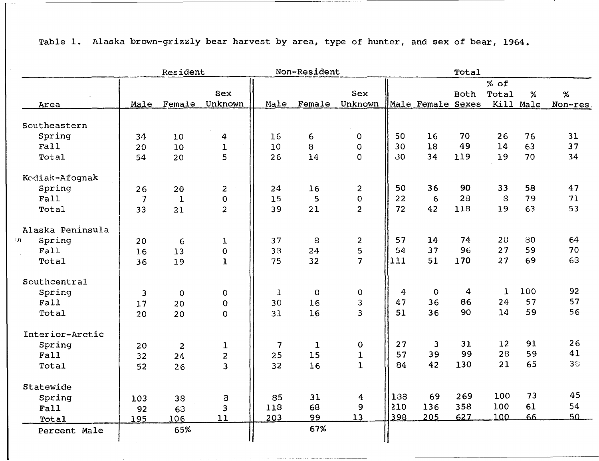|                  |                          | Resident        |                |             | Non-Resident | Total          |     |                   |      |             |           |          |
|------------------|--------------------------|-----------------|----------------|-------------|--------------|----------------|-----|-------------------|------|-------------|-----------|----------|
|                  |                          |                 |                |             |              |                |     |                   |      | % of        |           |          |
|                  |                          |                 | <b>Sex</b>     |             |              | Sex            |     |                   | Both | Total       | %         | %        |
| Area             | Male                     | Female          | Unknown        |             | Male Female  | Unknown        |     | Male Female Sexes |      |             | Kill Male | Non-res. |
| Southeastern     |                          |                 |                |             |              |                |     |                   |      |             |           |          |
| Spring           | 34                       | 10 <sup>°</sup> | 4              | 16          | 6            | $\mathbf 0$    | 50  | 16                | 70   | 26          | 76        | 31       |
| Fall             | 20                       | 10              | $\mathbf{1}$   | 10          | 8            | $\mathbf 0$    | 30  | 18                | 49   | 14          | 63        | 37       |
| Total            | 54                       | 20              | 5              | 26          | 14           | $\mathbf{O}$   | 30  | 34                | 119  | 19          | 70        | 34       |
| Kodiak-Afognak   |                          |                 |                |             |              |                |     |                   |      |             |           |          |
| Spring           | 26                       | 20              | 2              | 24          | 16           | $\overline{c}$ | 50  | 36                | 90   | 33          | 58        | 47       |
| Fall             | $\overline{\mathcal{L}}$ | $\mathbf{1}$    | $\mathbf 0$    | 15          | 5            | 0              | 22  | 6                 | 28   | 8           | 79        | 71       |
| Total            | 33                       | 21              | $\overline{2}$ | 39          | 21           | $\overline{2}$ | 72  | 42                | 118  | 19          | 63        | 53       |
| Alaska Peninsula |                          |                 |                |             |              |                |     |                   |      |             |           |          |
| Spring<br>'n.    | 20                       | 6               | $\mathbf{1}$   | 37          | 8            | $\overline{c}$ | 57  | 14                | 74   | 28          | 80        | 64       |
| Fall             | 16                       | 13              | $\mathbf 0$    | 38          | 24           | 5              | 54  | 37                | 96   | 27          | 59        | 70       |
| Total            | 36                       | 19              | $\mathbf{1}$   | 75          | 32           | $\overline{7}$ | 111 | 51                | 170  | 27          | 69        | 68       |
| Southcentral     |                          |                 |                |             |              |                |     |                   |      |             |           |          |
| Spring           | 3                        | $\overline{0}$  | $\mathbf 0$    | $\mathbf 1$ | $\mathbf{O}$ | $\mathsf O$    | 4   | $\mathsf O$       | 4    | $\mathbf 1$ | 100       | 92       |
| Fall             | 17                       | 20              | $\overline{0}$ | 30          | 16           | 3              | 47  | 36                | 86   | 24          | 57        | 57       |
| Total            | 20                       | 20              | $\Omega$       | 31          | 16           | $\overline{3}$ | 51  | 36                | 90   | 14          | 59        | 56       |
| Interior-Arctic  |                          |                 |                |             |              |                |     |                   |      |             |           |          |
| Spring           | 20                       | $\overline{2}$  | $\mathbf{I}$   | 7           | $\mathbf{1}$ | 0              | 27  | 3                 | 31   | 12          | 91        | 26       |
| Fall             | 32                       | 24              | $\overline{c}$ | 25          | 15           | $\mathbf 1$    | 57  | 39                | 99   | 28          | 59        | 41       |
| Total            | 52                       | 26              | $\overline{3}$ | 32          | 16           | $\mathbf{1}$   | 84  | 42                | 130  | 21          | 65        | 38       |
| Statewide        |                          |                 |                |             |              |                |     |                   |      |             |           |          |
| Spring           | 103                      | 38              | 8              | 85          | 31           | 4              | 138 | 69                | 269  | 100         | 73        | 45       |
| Fall             | 92                       | 68              | 3              | 118         | 68           | 9              | 210 | 136               | 358  | 100         | 61        | 54       |
| Total            | 195                      | 106             | 11             | 203         | 99           | 13             | 398 | 205               | 627  | 100         | 66        | 50       |
| Percent Male     |                          | 65%             |                |             | 67%          |                |     |                   |      |             |           |          |
|                  |                          |                 |                |             |              |                |     |                   |      |             |           |          |

-- ------------------------------

Table 1. Alaska brown-grizzly bear harvest by area, type of hunter, and sex of bear, 1964.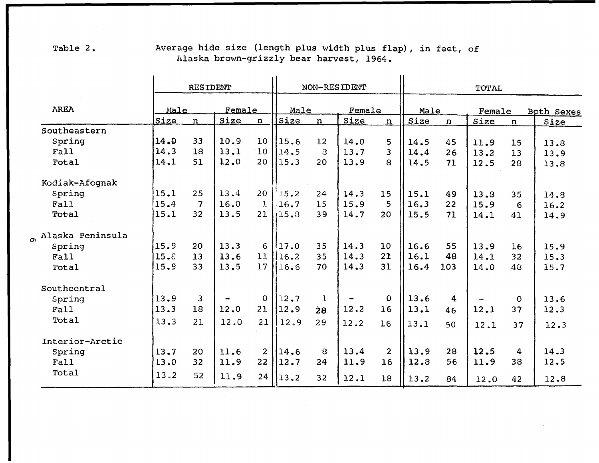|                    |       | <b>RESIDENT</b> |                              |                 | NON-RESIDENT |                 |        |                |      | TOTAL       |        |             |            |  |  |
|--------------------|-------|-----------------|------------------------------|-----------------|--------------|-----------------|--------|----------------|------|-------------|--------|-------------|------------|--|--|
| AREA               | Male  |                 | Female                       |                 | Male         |                 | Female |                | Male |             | Female |             | Both Sexes |  |  |
|                    | Size  | $\mathbf n$     | Size                         | $\mathbf n$     | Size         | $\mathbf n$     | Size   | n              | Size | $\mathbf n$ | Size   | $\mathbf n$ | Size       |  |  |
| Southeastern       |       |                 |                              |                 |              |                 |        |                |      |             |        |             |            |  |  |
| Spring             | 14.0  | 33              | 10.9                         | 10              | 115.6        | 12              | 14.0   | 5              | 14.5 | 45          | 11.9   | 15          | 13.8       |  |  |
| Fall               | 14.3  | 18              | 13.1                         | 10 <sup>°</sup> | 14.5         | $\mathcal{B}$   | 13.7   | $\overline{3}$ | 14.4 | 26          | 13.2   | 13          | 13.9       |  |  |
| Total              | 14.1  | 51              | 12.0                         | 20              | 15.3         | 20              | 13.9   | 8              | 14.5 | 71          | 12.5   | 28          | 13.8       |  |  |
| Kodiak-Afognak     |       |                 |                              |                 |              |                 |        |                |      |             |        |             |            |  |  |
| Spring             | 115.1 | 25              | 13.4                         | 20              | 15.2         | 24              | 14.3   | 15             | 15.1 | 49          | 13.8   | 35          | 14.8       |  |  |
| Fall               | 15.4  | 7               | 16.0                         | $\mathbf{1}$    | .16.7        | 15              | 15.9   | 5              | 16.3 | 22          | 15.9   | 6           | 16.2       |  |  |
| Total              | 15.1  | 32              | 13.5                         | 21              | 15.8         | 39              | 14.7   | 20             | 15.5 | 71          | 14.1   | 41          | 14.9       |  |  |
| o Alaska Peninsula |       |                 |                              |                 |              |                 |        |                |      |             |        |             |            |  |  |
| Spring             | 15.9  | 20              | 13.3                         |                 | $6$   17.0   | 35              | 14.3   | 10             | 16.6 | 55          | 13.9   | 16          | 15.9       |  |  |
| Fall               | 15.8  | 13              | 13.6                         | 11              | 116.2        | 35              | 14.3   | 21             | 16.1 | 48          | 14.1   | 32          | 15.3       |  |  |
| Total              | 15.9  | 33              | 13.5                         | 17              | 116.6        | 70              | 14.3   | 31             | 16.4 | 103         | 14.0   | 48          | 15.7       |  |  |
| Southcentral       |       |                 |                              |                 |              |                 |        |                |      |             |        |             |            |  |  |
| Spring             | 13.9  | 3               | $\qquad \qquad \blacksquare$ | $\mathbf{O}$    | 12.7         | $\mathbf{1}$    |        | $\mathbf 0$    | 13.6 | 4           |        | $\mathbf 0$ | 13.6       |  |  |
| Fall               | 13.3  | 18              | 12.0                         | 21              | 12.9         | $\dot{2}8$      | 12.2   | 16             | 13.1 | 46          | 12.1   | 37          | 12.3       |  |  |
|                    |       |                 |                              |                 |              |                 |        |                |      |             |        |             |            |  |  |
| Total              | 13.3  | 21              | 12.0                         | 21              | 12.9         | 29              | 12.2   | 16             | 13.1 | 50          | 12.1   | 37          | 12.3       |  |  |
| Interior-Arctic    |       |                 |                              |                 |              |                 |        |                |      |             |        |             |            |  |  |
| Spring             | 13.7  | 20              | 11.6                         | $\overline{2}$  | 14.6         | 8               | 13.4   | $\overline{2}$ | 13.9 | 28          | 12.5   | 4           | 14.3       |  |  |
| Fall               | 13.0  | 32              | 11.9                         | 22              | 12.7         | 24              | 11.9   | 16             | 12.8 | 56          | 11.9   | 38          | 12.5       |  |  |
| Total              | 13.2  | 52              | 11.9                         | 24              | 13.2         | 32 <sub>2</sub> | 12.1   | 18             | 13.2 | 84          | 12.0   | 42          | 12.8       |  |  |

Table 2. Average hide size (length plus width plus flap), in feet, of Alaska brown-grizzly bear harvest, 1964.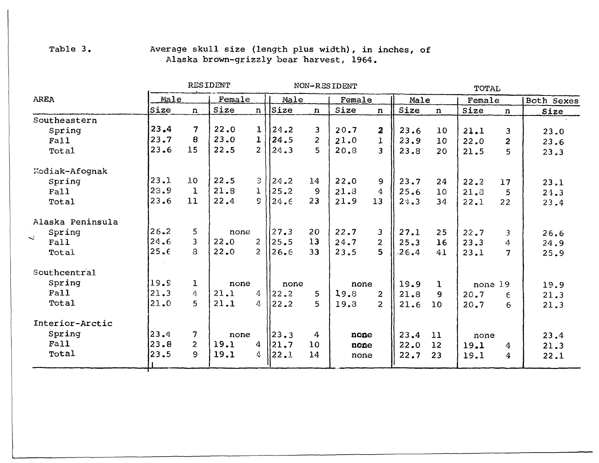## Table 3. Average skull size (length plus width), in inches, of Alaska brown-grizzly bear 'harvest, 1964.

| <b>RESIDENT</b> |                          |                      |                      |                                                                        | TOTAL                                   |      |                         |                              |              |      |                  |                           |
|-----------------|--------------------------|----------------------|----------------------|------------------------------------------------------------------------|-----------------------------------------|------|-------------------------|------------------------------|--------------|------|------------------|---------------------------|
| Male            |                          | Female               |                      |                                                                        | Male                                    |      | Female                  |                              | Male         |      |                  | Both Sexes                |
| <b>Size</b>     | $n -$                    | Size                 |                      |                                                                        | $\mathbf n$                             | Size | n                       | Size                         | $\mathbf n$  | Size | $\mathbf n$      | Size                      |
|                 |                          |                      |                      |                                                                        |                                         |      |                         |                              |              |      |                  |                           |
|                 |                          |                      |                      |                                                                        | 3                                       | 20.7 | $\overline{\mathbf{z}}$ | 23.6                         | 10           | 21.1 | $\mathbf{3}$     | 23.0                      |
|                 | 8                        |                      |                      |                                                                        | $\overline{2}$                          | 21.0 | $\mathbf{1}$            | 23.9                         | 10           | 22.0 | $\overline{c}$   | 23.6                      |
|                 |                          |                      |                      | 24.3                                                                   | 5                                       | 20.3 | 3                       | 23.8                         | 20           | 21.5 | 5                | 23.3                      |
|                 |                          |                      |                      |                                                                        |                                         |      |                         |                              |              |      |                  |                           |
| 23.1            | 10                       | 22.5                 | $\beta$              | 24.2                                                                   | 14                                      | 22.0 | 9                       | 23.7                         | 24           | 22.2 | 17               | 23.1                      |
| 23.9            | $\mathbf 1$              | 21.8                 | $\mathbf{1}$         | 25.2                                                                   | 9                                       | 21.3 | 4                       | 25.6                         | 10           | 21.3 | 5                | 24.3                      |
| 23.6            | 11                       | 22.4                 | $\mathsf{S}^-$       | 24.6                                                                   | 23                                      | 21.9 | 13                      | 24.3                         | 34           | 22.1 | 22               | 23.4                      |
|                 |                          |                      |                      |                                                                        |                                         |      |                         |                              |              |      |                  |                           |
| 26.2            | 5                        |                      |                      | 127.3                                                                  | 20                                      | 22.7 | 3                       | 27.1                         | 25           | 22.7 | 3                | 26.6                      |
| 24.6            | 3                        | 22.0                 | 2 <sup>1</sup>       | 25.5                                                                   | 13                                      | 24.7 | $\overline{2}$          | 25.3                         | 16           | 23.3 | 4                | 24.9                      |
| 25.6            | 8                        | 22.0                 | $\overline{2}$       | 126.6                                                                  | 33                                      | 23.5 | 5                       | 26.4                         | 41           | 23.1 | 7                | 25.9                      |
|                 |                          |                      |                      |                                                                        |                                         |      |                         |                              |              |      |                  |                           |
| 19.5            | $\mathbf{1}$             |                      |                      |                                                                        |                                         |      |                         | 19.9                         | $\mathbf{1}$ |      |                  | 19.9                      |
| 21.3            | 4                        | 21.1                 | 4                    | $ 22.2\rangle$                                                         | 5.                                      | 19.8 | $\overline{2}$          | 21.8                         | 9            | 20.7 | $\epsilon$       | 21.3                      |
| 21.0            | 5                        | 21.1                 | 4                    | 22.2                                                                   | 5.                                      | 19.3 | $\overline{2}$          | 21.6                         | 10           | 20.7 | 6                | 21.3                      |
|                 |                          |                      |                      |                                                                        |                                         |      |                         |                              |              |      |                  |                           |
| 23.4            | $\overline{7}$           |                      |                      |                                                                        | 4                                       |      |                         |                              |              |      |                  | 23.4                      |
| 23.8            | $\overline{2}$           | 19.1                 | $\overline{4}$       | 21.7                                                                   | 10                                      |      |                         |                              | 12           |      | $\boldsymbol{4}$ | 21.3                      |
| 23.5            | 9                        | 19.1                 | $\mathcal{L}$        | 22.1                                                                   | 14                                      |      |                         | 22.7                         | 23           | 19.1 | 4                | 22.1                      |
|                 | 23, 4 <br> 23.7 <br>23.6 | $\overline{7}$<br>15 | 22.0<br>23.0<br>22.5 | $\mathbf{1}$<br>$\mathbf{1}$<br>2 <sup>1</sup><br>none<br>none<br>none | $n \mid$ Size<br>24.2<br>24.5<br> 23, 3 | none | NON-RESIDENT            | none<br>none<br>none<br>none | 23.4<br>22.0 | 11   | 19.1             | Female<br>none 19<br>none |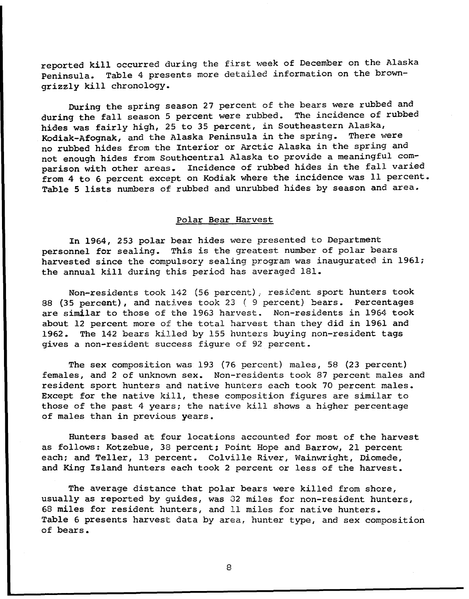reported kill occurred during the first week of December on the Alaska Peninsula. Table 4 presents more detailed information on the browngrizzly kill chronology.

During the spring season 27 percent of the bears were rubbed and<br>g the fall season 5 percent were rubbed. The incidence of rubbed during the fall season 5 percent were rubbed. hides was fairly high, 25 to 35 percent, in Southeastern Alaska,<br>Kodiak-Afognak, and the Alaska Peninsula in the spring. There were Kodiak-Afognak, and the Alaska Peninsula in the spring. no rubbed hides from the Interior or Arctic Alaska in the spring and not enough hides from Southcentral Alaska to provide a meaningful comparison with other areas. Incidence of rubbed hides in the fall varied from 4 to 6 percent except on Kodiak where the incidence was 11 percent. Table 5 lists numbers of rubbed and unrubbed hides by season and area.

### Polar Bear Harvest

In 1964, 253 polar bear hides were presented to Department personnel for sealing. This is the greatest number of polar bears harvested since the compulsory sealing program was inaugurated in 1961; the annual kill during this period has averaged 181.

Non-residents took 142 (56 percent) , resident sport hunters took 88 (35 percent), and natives took 23 ( 9 percent) bears. Percentages are similar to those of the 1963 harvest. Non-residents in 1964 took about 12 percent more of the total harvest than they did in 1961 and 1962. The 142 bears killed by 155 hunters buying non-resident tags gives a non-resident success figure of 92 percent.

The sex composition was 193 (76 percent) males, 58 (23 percent) females, and 2 of unknown sex. Non-residents took 87 percent males and resident sport hunters and native hunters each took 70 percent males. Except for the native kill, these composition figures are similar to those of the past 4 years; the native kill shows a higher percentage of males than in previous years.

Hunters based at four locations accounted for most of the harvest as follows: Kotzebue, 38 percent; Point Hope and Barrow, 21 percent each; and Teller, 13 percent. Colville River, Wainwright, Diomede, and King Island hunters each took 2 percent or less of the harvest.

The average distance that polar bears were killed from shore, usually as reported by guides, was 82 miles for non-resident hunters, 68 miles for resident hunters, and 11 miles for native hunters. Table 6 presents harvest data by area, hunter type, and sex composition of bears.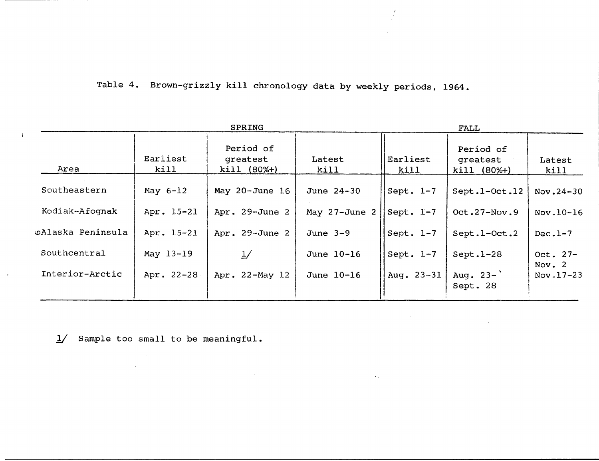Table 4. Brown-grizzly kill chronology data by weekly periods, 1964.

 $\overline{1}$ 

|                   |                  | FALL                                   |                |                     |                                        |                        |  |  |
|-------------------|------------------|----------------------------------------|----------------|---------------------|----------------------------------------|------------------------|--|--|
| Area              | Earliest<br>kill | Period of<br>greatest<br>$kil1 (80%+)$ | Latest<br>kill | Earliest<br>kill    | Period of<br>greatest<br>$kill (80%+)$ | Latest<br>kill         |  |  |
| Southeastern      | May 6-12         | May $20 - June 16$                     | June 24-30     | Sept. $1-7$         | Sept.1-Oct.12                          | $Nov.24-30$            |  |  |
| Kodiak-Afognak    | Apr. 15-21       | Apr. 29-June 2                         | May 27-June 2  | $\vert$ Sept. $1-7$ | Oct. $27-Nov.9$                        | Nov.10-16              |  |  |
| wAlaska Peninsula | Apr. 15-21       | Apr. 29-June 2                         | June $3-9$     | Sept. $l-7$         | Sept.1-Oct.2                           | $Dec.1-7$              |  |  |
| Southcentral      | May 13-19        | $\frac{1}{2}$                          | June 10-16     | Sept. $l-7$         | $Sept.1-28$                            | Oct. $27-$<br>Nov. $2$ |  |  |
| Interior-Arctic   | Apr. 22-28       | Apr. 22-May 12                         | June 10-16     | Aug. 23-31          | Aug. $23-$<br>Sept. 28                 | Nov. $17-23$           |  |  |

*1/* Sample too small to be meaningful.

 $\bar{\mathcal{A}}$ 

 $\mathbf{I}$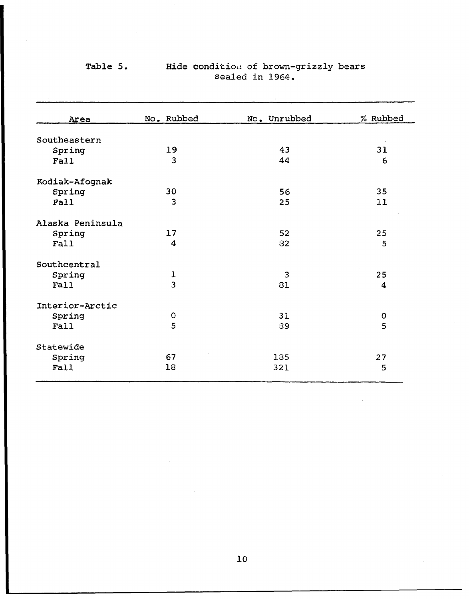| Area             | No. Rubbed              | No. Unrubbed   | % Rubbed       |  |  |
|------------------|-------------------------|----------------|----------------|--|--|
|                  |                         |                |                |  |  |
| Southeastern     |                         |                |                |  |  |
| Spring           | 19                      | 43             | 31             |  |  |
| Fall             | $\overline{\mathbf{3}}$ | 44             | 6              |  |  |
| Kodiak-Afognak   |                         |                |                |  |  |
| Spring           | 30                      | 56             | 35             |  |  |
| Fall             | 3                       | 25             | 11             |  |  |
| Alaska Peninsula |                         |                |                |  |  |
| Spring           | 17                      | 52             | 25             |  |  |
| Fall             | 4                       | 32             | 5              |  |  |
| Southcentral     |                         |                |                |  |  |
| Spring           | $\mathbf{I}$            | $\overline{3}$ | 25             |  |  |
| Fall             | $\overline{3}$          | 81             | $\overline{4}$ |  |  |
| Interior-Arctic  |                         |                |                |  |  |
| Spring           | $\mathbf O$             | 31             | $\mathbf 0$    |  |  |
| Fall             | 5                       | 39             | 5              |  |  |
| Statewide        |                         |                |                |  |  |
| Spring           | 67                      | 135            | 27             |  |  |
| Fall             | 18                      | 321            | 5              |  |  |

## Table 5. Hide condition of brown-grizzly bears sealed in  $1964$ .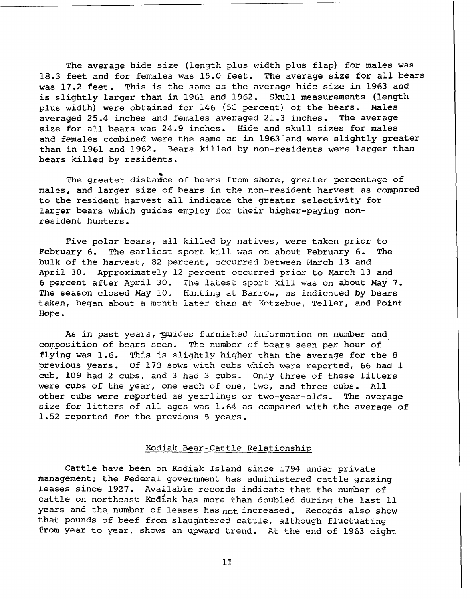The average hide size (length plus width plus flap) for males was<br>feet and for females was 15.0 feet. The average size for all bears 18.3 feet and for females was 15.0 feet. was 17.2 feet. This is the same as the average hide size in 1963 and is slightly larger than in 1961 and 1962. Skull measurements (length plus width) were obtained for 146 (53 percent) of the bears. Males averaged 25.4 inches and females averaged 21.3 inches. The average size for all bears was 24.9 inches. Hide and skull sizes for males and females combined were the same as in 1963 and were slightly greater than in 1961 and 1962. Bears killed by non-residents were larger than bears killed by residents.

The greater distance of bears from shore, greater percentage of males, and larger size of bears in the non-resident harvest as compared to the resident harvest all indicate the greater selectivity for larger bears which guides employ for their higher-paying nonresident hunters.

Five polar bears, all killed by natives, were taken prior to February 6. The earliest sport kill was on about February 6. The bulk of the harvest, 82 percent, occurred between March 13 and April 30. Approximately 12 percent occurred prior to March 13 and 6 percent after April 30. The latest sport kill was on about May 7. The season closed May 10. Hunting at Barrow, as indicated by bears taken, began about a mcnth later than at Kotzebue, Teller, and Point Hope.

As in past years, guides furnished information on number and composition of bears seen. The number of bears seen per hour of flying was 1.6. This is slightly higher than the average for the 8 previous years. Of 173 sows with cubs which were reported, 66 had 1 cub, 109 had 2 cubs, and 3 had 3 cubs. Only three of these litters were cubs of the year, one each of one, two, and three cubs. All other cubs were reported as yearlings or two-year-olds. The average size for litters of all ages was 1.64 as compared with the average of 1.52 reported for the previous 5 years.

#### Kodiak Bear-Cattle Relationship

Cattle have been on Kodiak Island since 1794 under private management; the Federal government has administered cattle grazing leases since 1927. Available records indicate that the number of cattle on northeast Kodiak has more than doubled during the last 11 years and the number of leases has not increased. Records also show that pounds of beef from slaughtered cattle, although fluctuating from year to year, shows an upward trend. At the end of 1963 eight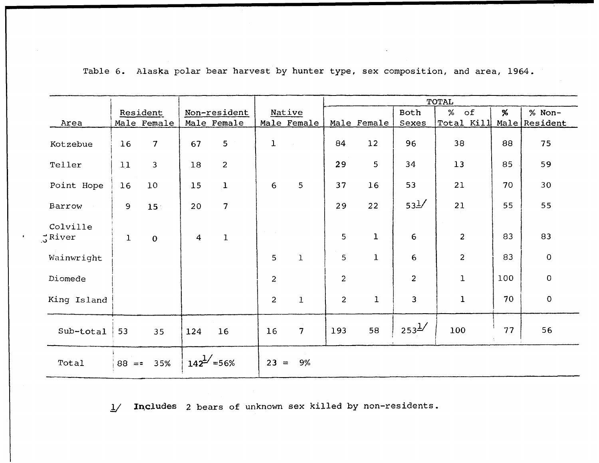|                           |              |                |                  |                          |                |                 | TOTAL          |              |                 |                |     |               |  |  |  |  |
|---------------------------|--------------|----------------|------------------|--------------------------|----------------|-----------------|----------------|--------------|-----------------|----------------|-----|---------------|--|--|--|--|
|                           |              | Resident       |                  | Non-resident             |                | Native          |                |              | Both            | ℅<br>$\circ$ f | %   | % Non-        |  |  |  |  |
| Area                      |              | Male Female    |                  | Male Female              |                | Male Female     |                | Male Female  | Sexes           | Total Kill     |     | Male Resident |  |  |  |  |
| Kotzebue                  | 16           | $\overline{7}$ | 67               | 5                        | $\mathbf{1}$   |                 | 84             | 12           | 96              | 38             | 88  | 75            |  |  |  |  |
| Teller                    | 11           | $\overline{3}$ | 18               | $\overline{2}$           |                |                 | 29             | 5            | 34              | 13             | 85  | 59            |  |  |  |  |
| Point Hope                | 16           | 10             | 15               | $\mathbf{1}$             | 6              | 5               | 37             | 16           | 53              | 21             | 70  | 30            |  |  |  |  |
| Barrow                    | 9            | 15:            | 20               | 7                        |                |                 | 29             | 22           | 53 <sup>1</sup> | 21             | 55  | 55            |  |  |  |  |
| Colville<br>$\zeta$ River | $\mathbf{I}$ | $\mathbf{O}$   | $\boldsymbol{4}$ | $\mathbf{1}$             |                |                 | 5              | $\mathbf 1$  | 6               | $\overline{2}$ | 83  | 83            |  |  |  |  |
| Wainwright                |              |                |                  |                          | 5              | $\mathbf{1}$    | 5              | $\mathbf 1$  | $6\phantom{1}6$ | $\overline{2}$ | 83  | $\mathbf 0$   |  |  |  |  |
| Diomede                   |              |                |                  |                          | $\overline{c}$ |                 | $\overline{c}$ |              | $\overline{c}$  | $\mathbf 1$    | 100 | $\mathbf 0$   |  |  |  |  |
| King Island               |              |                |                  |                          | $\overline{2}$ | $\mathbf 1$     | $\overline{2}$ | $\mathbf{1}$ | $\mathbf{3}$    | $\mathbf 1$    | 70  | $\pmb{0}$     |  |  |  |  |
| Sub-total                 | 53           | 35             | 124              | 16                       | 16             | $7\overline{ }$ | 193            | 58           | $253^{1/2}$     | 100            | 77  | 56            |  |  |  |  |
| Total                     | $88 = 5$     | 35%            |                  | $142^{\frac{1}{2}}$ =56% | $23 =$         | 9%              |                |              |                 |                |     |               |  |  |  |  |

Table 6. Alaska polar bear harvest by hunter type, sex composition, and area, 1964.

1/ Includes 2 bears of unknown sex killed by non-residents.